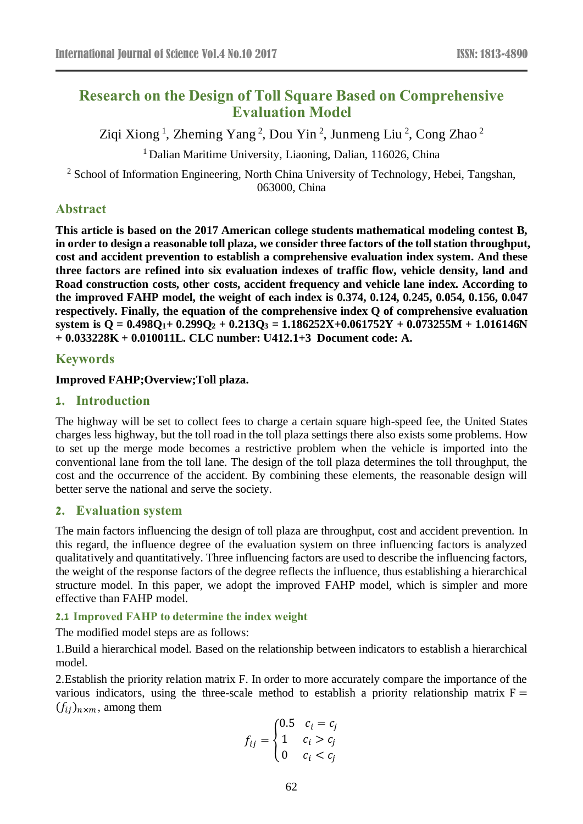# **Research on the Design of Toll Square Based on Comprehensive Evaluation Model**

Ziqi Xiong<sup>1</sup>, Zheming Yang<sup>2</sup>, Dou Yin<sup>2</sup>, Junmeng Liu<sup>2</sup>, Cong Zhao<sup>2</sup>

 $<sup>1</sup>$  Dalian Maritime University, Liaoning, Dalian, 116026, China</sup>

<sup>2</sup> School of Information Engineering, North China University of Technology, Hebei, Tangshan, 063000, China

# **Abstract**

**This article is based on the 2017 American college students mathematical modeling contest B, in order to design a reasonable toll plaza, we consider three factors of the toll station throughput, cost and accident prevention to establish a comprehensive evaluation index system. And these three factors are refined into six evaluation indexes of traffic flow, vehicle density, land and Road construction costs, other costs, accident frequency and vehicle lane index. According to the improved FAHP model, the weight of each index is 0.374, 0.124, 0.245, 0.054, 0.156, 0.047 respectively. Finally, the equation of the comprehensive index Q of comprehensive evaluation system is Q = 0.498Q1+ 0.299Q<sup>2</sup> + 0.213Q<sup>3</sup> = 1.186252X+0.061752Y + 0.073255M + 1.016146N + 0.033228K + 0.010011L. CLC number: U412.1+3 Document code: A.**

### **Keywords**

### **Improved FAHP;Overview;Toll plaza.**

### **1. Introduction**

The highway will be set to collect fees to charge a certain square high-speed fee, the United States charges less highway, but the toll road in the toll plaza settings there also exists some problems. How to set up the merge mode becomes a restrictive problem when the vehicle is imported into the conventional lane from the toll lane. The design of the toll plaza determines the toll throughput, the cost and the occurrence of the accident. By combining these elements, the reasonable design will better serve the national and serve the society.

### **2. Evaluation system**

The main factors influencing the design of toll plaza are throughput, cost and accident prevention. In this regard, the influence degree of the evaluation system on three influencing factors is analyzed qualitatively and quantitatively. Three influencing factors are used to describe the influencing factors, the weight of the response factors of the degree reflects the influence, thus establishing a hierarchical structure model. In this paper, we adopt the improved FAHP model, which is simpler and more effective than FAHP model.

### **2.1 Improved FAHP to determine the index weight**

The modified model steps are as follows:

1.Build a hierarchical model. Based on the relationship between indicators to establish a hierarchical model.

2.Establish the priority relation matrix F. In order to more accurately compare the importance of the various indicators, using the three-scale method to establish a priority relationship matrix  $F =$  $(f_{ii})_{n \times m}$ , among them

$$
f_{ij} = \begin{cases} 0.5 & c_i = c_j \\ 1 & c_i > c_j \\ 0 & c_i < c_j \end{cases}
$$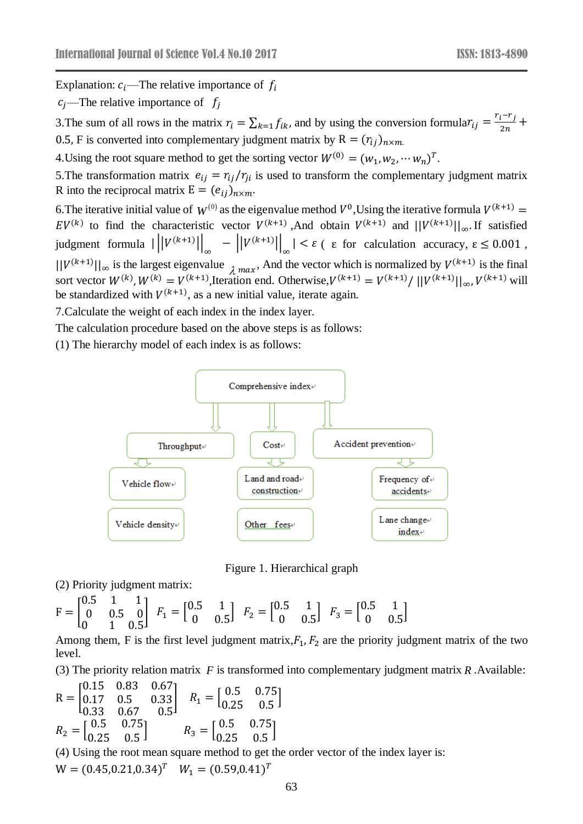Explanation:  $c_i$ —The relative importance of  $f_i$ 

 $c_i$ —The relative importance of  $f_i$ 

3. The sum of all rows in the matrix  $r_i = \sum_{k=1} f_{ik}$ , and by using the conversion formula $r_{ij} = \frac{r_i - r_j}{2n}$  $\frac{l+1}{2n}$  + 0.5, F is converted into complementary judgment matrix by  $R = (r_{ij})_{n \times m}$ .

4. Using the root square method to get the sorting vector  $W^{(0)} = (w_1, w_2, \dots, w_n)^T$ .

5. The transformation matrix  $e_{ij} = r_{ij}/r_{ji}$  is used to transform the complementary judgment matrix R into the reciprocal matrix  $E = (e_{ij})_{n \times m}$ .

6. The iterative initial value of  $W^{(0)}$  as the eigenvalue method  $V^0$ , Using the iterative formula  $V^{(k+1)} =$  $EV^{(k)}$  to find the characteristic vector  $V^{(k+1)}$ , And obtain  $V^{(k+1)}$  and  $||V^{(k+1)}||_{\infty}$ . If satisfied judgment formula  $\left|\left|\left|V^{(k+1)}\right|\right|_{\infty} - \left|\left|V^{(k+1)}\right|\right|_{\infty}\right| < \varepsilon$  ( $\varepsilon$  for calculation accuracy,  $\varepsilon \leq 0.001$ ,  $||V^{(k+1)}||_{\infty}$  is the largest eigenvalue  $\lambda$  max. And the vector which is normalized by  $V^{(k+1)}$  is the final sort vector  $W^{(k)}$ ,  $W^{(k)} = V^{(k+1)}$ , Iteration end. Otherwise,  $V^{(k+1)} = V^{(k+1)}/||V^{(k+1)}||_{\infty}$ ,  $V^{(k+1)}$  will be standardized with  $V^{(k+1)}$ , as a new initial value, iterate again.

7.Calculate the weight of each index in the index layer.

The calculation procedure based on the above steps is as follows:

(1) The hierarchy model of each index is as follows:



Figure 1. Hierarchical graph

(2) Priority judgment matrix:

$$
\mathbf{F} = \begin{bmatrix} 0.5 & 1 & 1 \\ 0 & 0.5 & 0 \\ 0 & 1 & 0.5 \end{bmatrix} \ \ F_1 = \begin{bmatrix} 0.5 & 1 \\ 0 & 0.5 \end{bmatrix} \ \ F_2 = \begin{bmatrix} 0.5 & 1 \\ 0 & 0.5 \end{bmatrix} \ \ F_3 = \begin{bmatrix} 0.5 & 1 \\ 0 & 0.5 \end{bmatrix}
$$

Among them, F is the first level judgment matrix, $F_1, F_2$  are the priority judgment matrix of the two level.

(3) The priority relation matrix *F* is transformed into complementary judgment matrix *<sup>R</sup>* .Available:

$$
R = \begin{bmatrix} 0.15 & 0.83 & 0.67 \\ 0.17 & 0.5 & 0.33 \\ 0.33 & 0.67 & 0.5 \end{bmatrix} \quad R_1 = \begin{bmatrix} 0.5 & 0.75 \\ 0.25 & 0.5 \end{bmatrix}
$$

$$
R_2 = \begin{bmatrix} 0.5 & 0.75 \\ 0.25 & 0.5 \end{bmatrix} \quad R_3 = \begin{bmatrix} 0.5 & 0.75 \\ 0.25 & 0.5 \end{bmatrix}
$$

(4) Using the root mean square method to get the order vector of the index layer is:  $W = (0.45, 0.21, 0.34)^T$   $W_1 = (0.59, 0.41)^T$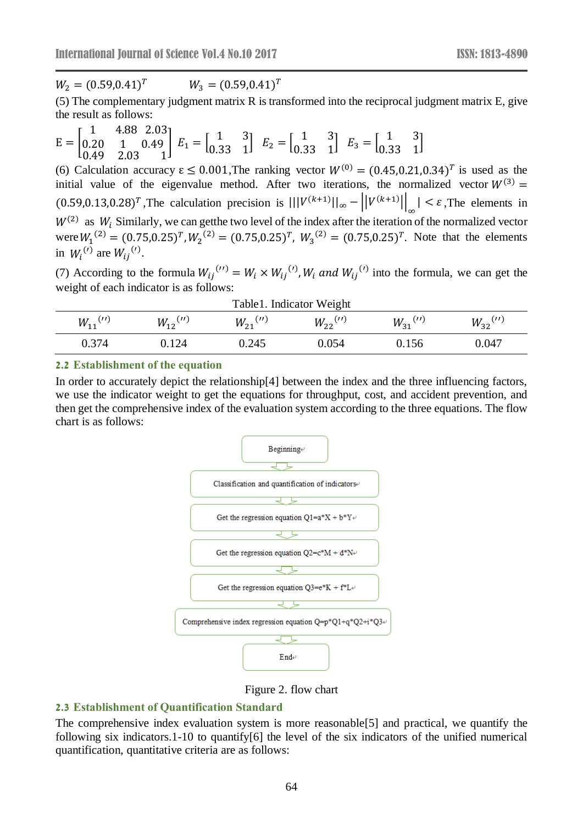$W_2 = (0.59, 0.41)^T$  $W_3 = (0.59, 0.41)^T$ 

(5) The complementary judgment matrix R is transformed into the reciprocal judgment matrix E, give the result as follows:

$$
E = \begin{bmatrix} 1 & 4.88 & 2.03 \\ 0.20 & 1 & 0.49 \\ 0.49 & 2.03 & 1 \end{bmatrix} E_1 = \begin{bmatrix} 1 & 3 \\ 0.33 & 1 \end{bmatrix} E_2 = \begin{bmatrix} 1 & 3 \\ 0.33 & 1 \end{bmatrix} E_3 = \begin{bmatrix} 1 & 3 \\ 0.33 & 1 \end{bmatrix}
$$

(6) Calculation accuracy  $\epsilon \leq 0.001$ , The ranking vector  $W^{(0)} = (0.45, 0.21, 0.34)^T$  is used as the initial value of the eigenvalue method. After two iterations, the normalized vector  $W^{(3)} =$  $(0.59, 0.13, 0.28)^T$ , The calculation precision is  $|||V^{(k+1)}||_{\infty} - ||V^{(k+1)}||_{\infty} < \varepsilon$ , The elements in ∞  $W^{(2)}$  as  $W_i$  Similarly, we can getthe two level of the index after the iteration of the normalized vector were  $W_1^{(2)} = (0.75,0.25)^T$ ,  $W_2^{(2)} = (0.75,0.25)^T$ ,  $W_3^{(2)} = (0.75,0.25)^T$ . Note that the elements in  $W_i^{(l)}$  are  $W_{ij}^{(l)}$ .

(7) According to the formula  $W_{ij}^{(1)} = W_i \times W_{ij}^{(1)}$ ,  $W_i$  and  $W_{ij}^{(1)}$  into the formula, we can get the weight of each indicator is as follows:

| Table1. Indicator Weight |                           |                           |                          |                          |                           |  |  |  |  |  |  |
|--------------------------|---------------------------|---------------------------|--------------------------|--------------------------|---------------------------|--|--|--|--|--|--|
| $W_{11}$ <sup>(11)</sup> | $W_{12}^{(\prime\prime)}$ | $W_{21}^{(\prime\prime)}$ | $W_{22}$ <sup>(11)</sup> | $W_{31}$ <sup>(11)</sup> | $W_{32}^{(\prime\prime)}$ |  |  |  |  |  |  |
| 0.374                    | . 124                     | 0.245                     | 0.054                    | 0.156                    | 0.047                     |  |  |  |  |  |  |

#### **2.2 Establishment of the equation**

In order to accurately depict the relationship[4] between the index and the three influencing factors, we use the indicator weight to get the equations for throughput, cost, and accident prevention, and then get the comprehensive index of the evaluation system according to the three equations. The flow chart is as follows:



Figure 2. flow chart

### **2.3 Establishment of Quantification Standard**

The comprehensive index evaluation system is more reasonable[5] and practical, we quantify the following six indicators.1-10 to quantify[6] the level of the six indicators of the unified numerical quantification, quantitative criteria are as follows: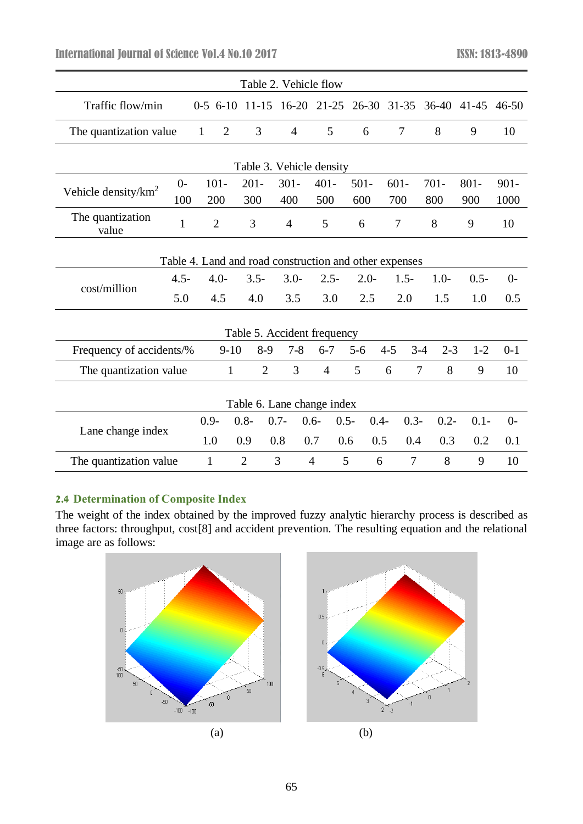International Journal of Science Vol.4 No.10 2017 **ISSN: 1813-4890** 

| Table 2. Vehicle flow                                  |              |                                |                |                |                    |           |                |                         |         |         |  |  |
|--------------------------------------------------------|--------------|--------------------------------|----------------|----------------|--------------------|-----------|----------------|-------------------------|---------|---------|--|--|
| Traffic flow/min                                       |              | $0-5$ 6-10 11-15               |                | $16 - 20$      | $21 - 25$          | $26 - 30$ |                | 31-35 36-40 41-45 46-50 |         |         |  |  |
| The quantization value                                 |              | $\mathbf{1}$<br>$\overline{2}$ | 3              | 4              | 5                  | 6         | 7              | 8                       | 9       | 10      |  |  |
| Table 3. Vehicle density                               |              |                                |                |                |                    |           |                |                         |         |         |  |  |
|                                                        | $0-$         | $101 -$                        | $201 -$        | $301 -$        | $401 -$            | $501 -$   | $601 -$        | $701 -$                 | $801 -$ | $901 -$ |  |  |
| Vehicle density/ $km^2$                                | 100          | 200                            | 300            | 400            | 500                | 600       | 700            | 800                     | 900     | 1000    |  |  |
| The quantization<br>value                              | $\mathbf{1}$ | $\overline{2}$                 | 3              | $\overline{4}$ | 5                  | 6         | 7              | 8                       | 9       | 10      |  |  |
| Table 4. Land and road construction and other expenses |              |                                |                |                |                    |           |                |                         |         |         |  |  |
|                                                        | $4.5 -$      | $4.0 -$                        | $3.5 -$        | $3.0 -$        | $2.5 -$            | $2.0 -$   | $1.5-$         | $1.0-$                  | $0.5 -$ | $0-$    |  |  |
| cost/million                                           | 5.0          | 4.5                            | 4.0            | 3.5            | 3.0                | 2.5       | 2.0            | 1.5                     | 1.0     | 0.5     |  |  |
| Table 5. Accident frequency                            |              |                                |                |                |                    |           |                |                         |         |         |  |  |
| Frequency of accidents/%                               |              | $9-10$                         | $8-9$          | $7 - 8$        | $6 - 7$            | $5 - 6$   | $4 - 5$        | $3 - 4$<br>$2 - 3$      | $1 - 2$ | $0-1$   |  |  |
| The quantization value                                 |              | $\mathbf{1}$                   | $\overline{2}$ | 3              | $\overline{4}$     | 5         | 6              | 7<br>8                  | 9       | 10      |  |  |
| Table 6. Lane change index                             |              |                                |                |                |                    |           |                |                         |         |         |  |  |
| Lane change index                                      |              | $0.9 -$                        | $0.8 -$        | $0.7 -$        | $0.6 -$<br>$0.5 -$ | $0.4-$    | $0.3 -$        | $0.2 -$                 | $0.1 -$ | $0-$    |  |  |
|                                                        |              | 1.0                            | 0.9            | 0.8            | 0.7<br>0.6         | 0.5       | 0.4            | 0.3                     | 0.2     | 0.1     |  |  |
| The quantization value                                 |              | $\mathbf{1}$                   | $\overline{2}$ | 3              | $\overline{4}$     | 5<br>6    | $\overline{7}$ | 8                       | 9       | 10      |  |  |

# **2.4 Determination of Composite Index**

The weight of the index obtained by the improved fuzzy analytic hierarchy process is described as three factors: throughput, cost[8] and accident prevention. The resulting equation and the relational image are as follows:



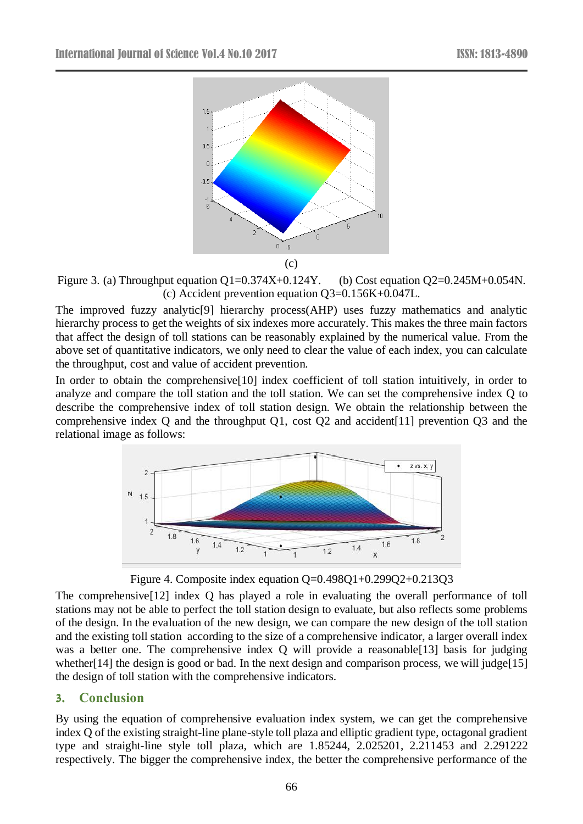

Figure 3. (a) Throughput equation  $Q1=0.374X+0.124Y$ . (b) Cost equation  $Q2=0.245M+0.054N$ . (c) Accident prevention equation Q3=0.156K+0.047L.

The improved fuzzy analytic[9] hierarchy process(AHP) uses fuzzy mathematics and analytic hierarchy process to get the weights of six indexes more accurately. This makes the three main factors that affect the design of toll stations can be reasonably explained by the numerical value. From the above set of quantitative indicators, we only need to clear the value of each index, you can calculate the throughput, cost and value of accident prevention.

In order to obtain the comprehensive<sup>[10]</sup> index coefficient of toll station intuitively, in order to analyze and compare the toll station and the toll station. We can set the comprehensive index Q to describe the comprehensive index of toll station design. We obtain the relationship between the comprehensive index Q and the throughput Q1, cost Q2 and accident[11] prevention Q3 and the relational image as follows:



Figure 4. Composite index equation Q=0.498Q1+0.299Q2+0.213Q3

The comprehensive[12] index Q has played a role in evaluating the overall performance of toll stations may not be able to perfect the toll station design to evaluate, but also reflects some problems of the design. In the evaluation of the new design, we can compare the new design of the toll station and the existing toll station according to the size of a comprehensive indicator, a larger overall index was a better one. The comprehensive index Q will provide a reasonable[13] basis for judging whether[14] the design is good or bad. In the next design and comparison process, we will judge[15] the design of toll station with the comprehensive indicators.

### **3. Conclusion**

By using the equation of comprehensive evaluation index system, we can get the comprehensive index Q of the existing straight-line plane-style toll plaza and elliptic gradient type, octagonal gradient type and straight-line style toll plaza, which are 1.85244, 2.025201, 2.211453 and 2.291222 respectively. The bigger the comprehensive index, the better the comprehensive performance of the